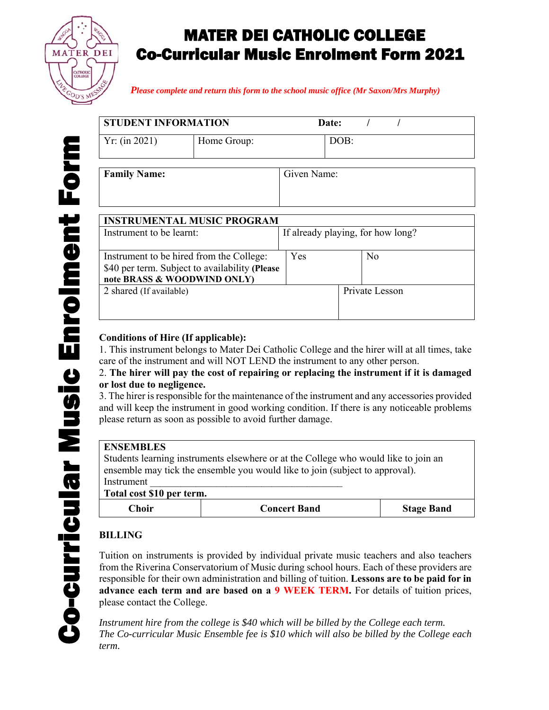

# MATER DEI CATHOLIC COLLEGE Co-Curricular Music Enrolment Form 2021

*Please complete and return this form to the school music office (Mr Saxon/Mrs Murphy)*

| STUDENT INFORMATION |             | Date: |  |  |
|---------------------|-------------|-------|--|--|
| Yr: (in 2021)       | Home Group: | DOB:  |  |  |

| Given Name: |
|-------------|
|             |
|             |
|             |

| <b>INSTRUMENTAL MUSIC PROGRAM</b>                                                                                         |     |                                   |  |
|---------------------------------------------------------------------------------------------------------------------------|-----|-----------------------------------|--|
| Instrument to be learnt:                                                                                                  |     | If already playing, for how long? |  |
| Instrument to be hired from the College:<br>\$40 per term. Subject to availability (Please<br>note BRASS & WOODWIND ONLY) | Yes | N <sub>o</sub>                    |  |
| 2 shared (If available)                                                                                                   |     | Private Lesson                    |  |

## **Conditions of Hire (If applicable):**

1. This instrument belongs to Mater Dei Catholic College and the hirer will at all times, take care of the instrument and will NOT LEND the instrument to any other person.

2. **The hirer will pay the cost of repairing or replacing the instrument if it is damaged or lost due to negligence.**

3. The hirer is responsible for the maintenance of the instrument and any accessories provided and will keep the instrument in good working condition. If there is any noticeable problems please return as soon as possible to avoid further damage.

### **ENSEMBLES**

**Family Name:** 

Students learning instruments elsewhere or at the College who would like to join an ensemble may tick the ensemble you would like to join (subject to approval). Instrument \_\_\_\_\_\_\_\_\_\_\_\_\_\_\_\_\_\_\_\_\_\_\_\_\_\_\_\_\_\_\_\_\_\_\_\_\_\_

**Total cost \$10 per term.** 

| otal cost 910 pcl term. |                     |                   |  |
|-------------------------|---------------------|-------------------|--|
| ∑hoir                   | <b>Concert Band</b> | <b>Stage Band</b> |  |

## **BILLING**

Tuition on instruments is provided by individual private music teachers and also teachers from the Riverina Conservatorium of Music during school hours. Each of these providers are responsible for their own administration and billing of tuition. **Lessons are to be paid for in advance each term and are based on a 9 WEEK TERM.** For details of tuition prices, please contact the College.

Instrument hire from the college is \$40 which will be billed by the College each term. *The Co-curricular Music Ensemble fee is \$10 which will also be billed by the College each term.*